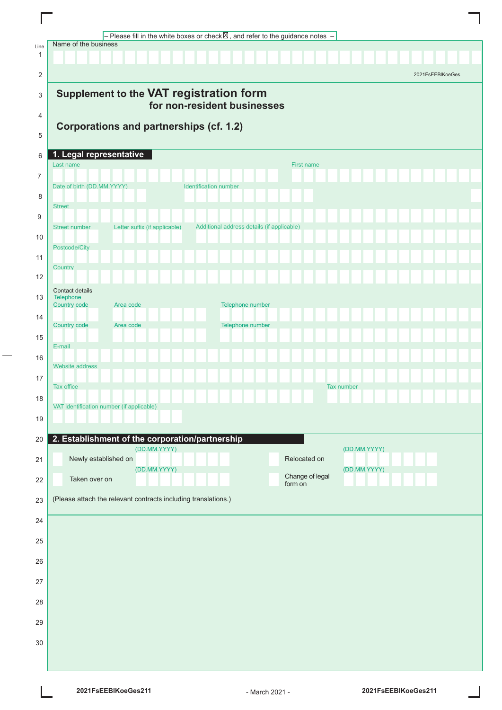|                | – Please fill in the white boxes or check $\boxtimes$ , and refer to the guidance notes $\,$ –<br>Name of the business |
|----------------|------------------------------------------------------------------------------------------------------------------------|
| Line<br>1      |                                                                                                                        |
| 2              | 2021FsEEBIKoeGes                                                                                                       |
| 3              | Supplement to the VAT registration form                                                                                |
| 4              | for non-resident businesses                                                                                            |
|                | <b>Corporations and partnerships (cf. 1.2)</b>                                                                         |
| 5              |                                                                                                                        |
| 6              | 1. Legal representative<br>Last name<br>First name                                                                     |
| $\overline{7}$ | Date of birth (DD.MM.YYYY)<br><b>Identification number</b>                                                             |
| 8              |                                                                                                                        |
| 9              | <b>Street</b>                                                                                                          |
| 10             | Additional address details (if applicable)<br>Letter suffix (if applicable)<br>Street number                           |
|                | Postcode/City                                                                                                          |
| 11             | Country                                                                                                                |
| 12             | Contact details                                                                                                        |
| 13             | Telephone<br>Country code<br>Telephone number<br>Area code                                                             |
| 14             | Telephone number<br><b>Country code</b><br>Area code                                                                   |
| 15             | E-mail                                                                                                                 |
| 16             | <b>Website address</b>                                                                                                 |
| 17             |                                                                                                                        |
| 18             | Tax office<br>Tax number                                                                                               |
| 19             | VAT identification number (if applicable)                                                                              |
|                |                                                                                                                        |
| 20             | 2. Establishment of the corporation/partnership<br>(DD.MM.YYYY)<br>(DD.MM.YYYY)                                        |
| 21             | Newly established on<br>Relocated on<br>(DD.MM.YYYY)<br>(DD.MM.YYYY)                                                   |
| 22             | Change of legal<br>Taken over on<br>form on                                                                            |
| 23             | (Please attach the relevant contracts including translations.)                                                         |
| 24             |                                                                                                                        |
| 25             |                                                                                                                        |
| 26             |                                                                                                                        |
| 27             |                                                                                                                        |
| 28             |                                                                                                                        |
|                |                                                                                                                        |
| 29             |                                                                                                                        |
| 30             |                                                                                                                        |
|                |                                                                                                                        |

L

 $\overline{a}$ 

 $\overline{\phantom{a}}$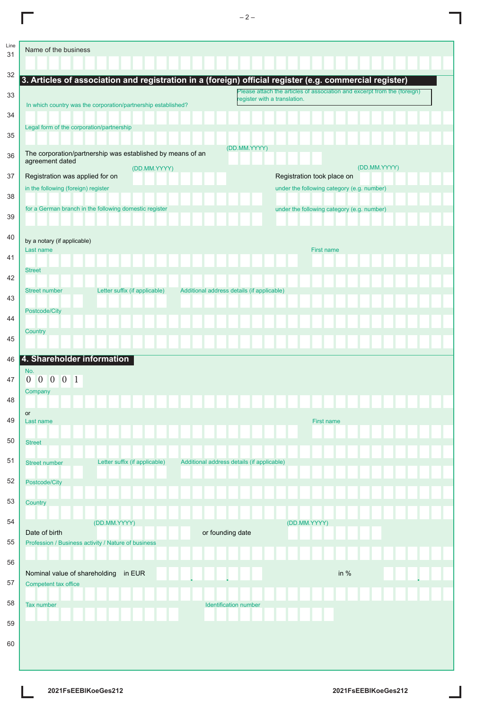| Line<br>31 | Name of the business                                                                                    |  |  |  |
|------------|---------------------------------------------------------------------------------------------------------|--|--|--|
| 32         | 3. Articles of association and registration in a (foreign) official register (e.g. commercial register) |  |  |  |
| 33         | Please attach the articles of association and excerpt from the (foreign)<br>eqister with a translation. |  |  |  |
| 34         | In which country was the corporation/partnership established?                                           |  |  |  |
| 35         | Legal form of the corporation/partnership                                                               |  |  |  |
| 36         | (DD.MM.YYYY)<br>The corporation/partnership was established by means of an<br>agreement dated           |  |  |  |
| 37         | (DD.MM.YYYY)<br>(DD.MM.YYYY)<br>Registration was applied for on<br>Registration took place on           |  |  |  |
|            | in the following (foreign) register<br>under the following category (e.g. number)                       |  |  |  |
| 38         | for a German branch in the following domestic register<br>under the following category (e.g. number)    |  |  |  |
| 39         |                                                                                                         |  |  |  |
| 40         | by a notary (if applicable)                                                                             |  |  |  |
| 41         | Last name<br><b>First name</b>                                                                          |  |  |  |
|            | <b>Street</b>                                                                                           |  |  |  |
| 42         | Letter suffix (if applicable)<br><b>Street number</b><br>Additional address details (if applicable)     |  |  |  |
| 43         |                                                                                                         |  |  |  |
| 44         | Postcode/City                                                                                           |  |  |  |
| 45         | Country                                                                                                 |  |  |  |
|            |                                                                                                         |  |  |  |
| 46         | 4. Shareholder information<br>No.                                                                       |  |  |  |
| 47         | 0 0 0 0 1<br>Company                                                                                    |  |  |  |
| 48         |                                                                                                         |  |  |  |
| 49         | or<br>Last name<br>First name                                                                           |  |  |  |
|            |                                                                                                         |  |  |  |
| 50         | <b>Street</b>                                                                                           |  |  |  |
| 51         | Letter suffix (if applicable)<br>Additional address details (if applicable)<br>Street number            |  |  |  |
| 52         | Postcode/City                                                                                           |  |  |  |
| 53         | Country                                                                                                 |  |  |  |
|            |                                                                                                         |  |  |  |
| 54         | (DD.MM.YYYY)<br>(DD.MM.YYYY)<br>Date of birth<br>or founding date                                       |  |  |  |
| 55         | Profession / Business activity / Nature of business                                                     |  |  |  |
| 56         |                                                                                                         |  |  |  |
| 57         | in %<br>Nominal value of shareholding<br>in EUR<br>Competent tax office                                 |  |  |  |
|            |                                                                                                         |  |  |  |
| 58         | Tax number<br>Identification number                                                                     |  |  |  |
| 59         |                                                                                                         |  |  |  |
| 60         |                                                                                                         |  |  |  |
|            |                                                                                                         |  |  |  |

L

 $\Box$ 

ı